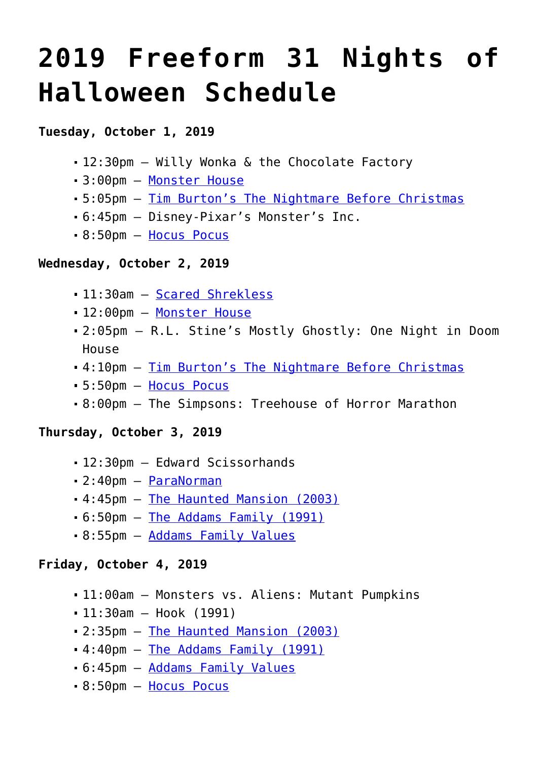# **[2019 Freeform 31 Nights of](https://www.halloweenmoviesontv.com/archives/2019-freeform-31-nights-of-halloween-schedule/) [Halloween Schedule](https://www.halloweenmoviesontv.com/archives/2019-freeform-31-nights-of-halloween-schedule/)**

## **Tuesday, October 1, 2019**

- 12:30pm Willy Wonka & the Chocolate Factory
- 3:00pm – [Monster House](https://www.halloweenmoviesontv.com/halloween-movies-a-to-z/monster-house-2006/)
- 5:05pm – [Tim Burton's The Nightmare Before Christmas](https://www.halloweenmoviesontv.com/halloween-movies-a-to-z/the-nightmare-before-christmas-1993/)
- 6:45pm Disney-Pixar's Monster's Inc.
- 8:50pm – [Hocus Pocus](https://www.halloweenmoviesontv.com/halloween-movies-a-to-z/hocus-pocus-1993/)

#### **Wednesday, October 2, 2019**

- 11:30am [Scared Shrekless](https://www.halloweenmoviesontv.com/halloween-movies-a-to-z/scared-shrekless-2010/)
- 12:00pm [Monster House](https://www.halloweenmoviesontv.com/halloween-movies-a-to-z/monster-house-2006/)
- 2:05pm R.L. Stine's Mostly Ghostly: One Night in Doom House
- 4:10pm – [Tim Burton's The Nightmare Before Christmas](https://www.halloweenmoviesontv.com/halloween-movies-a-to-z/the-nightmare-before-christmas-1993/)
- 5:50pm – [Hocus Pocus](https://www.halloweenmoviesontv.com/halloween-movies-a-to-z/hocus-pocus-1993/)
- 8:00pm The Simpsons: Treehouse of Horror Marathon

#### **Thursday, October 3, 2019**

- 12:30pm Edward Scissorhands
- 2:40pm – [ParaNorman](https://www.halloweenmoviesontv.com/halloween-movies-a-to-z/paranorman-2012/)
- 4:45pm – [The Haunted Mansion \(2003\)](https://www.halloweenmoviesontv.com/halloween-movies-a-to-z/the-haunted-mansion-2003/)
- 6:50pm – [The Addams Family \(1991\)](https://www.halloweenmoviesontv.com/halloween-movies-a-to-z/the-addams-family-1991/)
- 8:55pm – [Addams Family Values](https://www.halloweenmoviesontv.com/halloween-movies-a-to-z/addams-family-values-1993/)

#### **Friday, October 4, 2019**

- 11:00am Monsters vs. Aliens: Mutant Pumpkins
- 11:30am Hook (1991)
- 2:35pm – [The Haunted Mansion \(2003\)](https://www.halloweenmoviesontv.com/halloween-movies-a-to-z/the-haunted-mansion-2003/)
- 4:40pm – [The Addams Family \(1991\)](https://www.halloweenmoviesontv.com/halloween-movies-a-to-z/the-addams-family-1991/)
- 6:45pm – [Addams Family Values](https://www.halloweenmoviesontv.com/halloween-movies-a-to-z/addams-family-values-1993/)
- 8:50pm – [Hocus Pocus](https://www.halloweenmoviesontv.com/halloween-movies-a-to-z/hocus-pocus-1993/)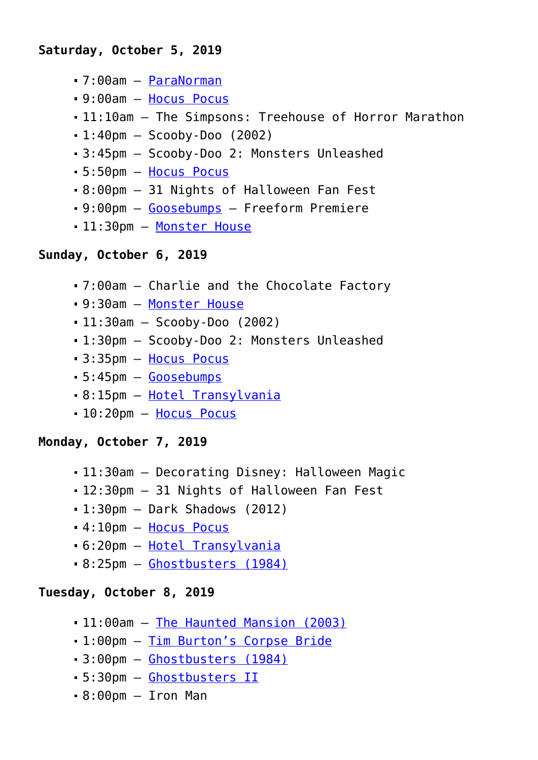- 7:00am – [ParaNorman](https://www.halloweenmoviesontv.com/halloween-movies-a-to-z/paranorman-2012/)
- 9:00am – [Hocus Pocus](https://www.halloweenmoviesontv.com/halloween-movies-a-to-z/hocus-pocus-1993/)
- 11:10am The Simpsons: Treehouse of Horror Marathon
- $-1:40$ pm Scooby-Doo (2002)
- 3:45pm Scooby-Doo 2: Monsters Unleashed
- 5:50pm – [Hocus Pocus](https://www.halloweenmoviesontv.com/halloween-movies-a-to-z/hocus-pocus-1993/)
- 8:00pm 31 Nights of Halloween Fan Fest
- 9:00pm – [Goosebumps](https://www.halloweenmoviesontv.com/halloween-movies-a-to-z/goosebumps-2015/)  Freeform Premiere
- 11:30pm [Monster House](https://www.halloweenmoviesontv.com/halloween-movies-a-to-z/monster-house-2006/)

## **Sunday, October 6, 2019**

- 7:00am Charlie and the Chocolate Factory
- 9:30am – [Monster House](https://www.halloweenmoviesontv.com/halloween-movies-a-to-z/monster-house-2006/)
- 11:30am Scooby-Doo (2002)
- 1:30pm Scooby-Doo 2: Monsters Unleashed
- 3:35pm – [Hocus Pocus](https://www.halloweenmoviesontv.com/halloween-movies-a-to-z/hocus-pocus-1993/)
- 5:45pm – [Goosebumps](https://www.halloweenmoviesontv.com/halloween-movies-a-to-z/goosebumps-2015/)
- 8:15pm – [Hotel Transylvania](https://www.halloweenmoviesontv.com/halloween-movies-a-to-z/hotel-transylvania-2012/)
- 10:20pm [Hocus Pocus](https://www.halloweenmoviesontv.com/halloween-movies-a-to-z/hocus-pocus-1993/)

## **Monday, October 7, 2019**

- 11:30am Decorating Disney: Halloween Magic
- 12:30pm 31 Nights of Halloween Fan Fest
- $-1:30$ pm Dark Shadows (2012)
- 4:10pm – [Hocus Pocus](https://www.halloweenmoviesontv.com/halloween-movies-a-to-z/hocus-pocus-1993/)
- 6:20pm – [Hotel Transylvania](https://www.halloweenmoviesontv.com/halloween-movies-a-to-z/hotel-transylvania-2012/)
- 8:25pm – [Ghostbusters \(1984\)](https://www.halloweenmoviesontv.com/halloween-movies-a-to-z/ghostbusters-1984/)

## **Tuesday, October 8, 2019**

- 11:00am [The Haunted Mansion \(2003\)](https://www.halloweenmoviesontv.com/halloween-movies-a-to-z/the-haunted-mansion-2003/)
- 1:00pm – [Tim Burton's Corpse Bride](https://www.halloweenmoviesontv.com/halloween-movies-a-to-z/tim-burtons-corpse-bride-2005/)
- 3:00pm – [Ghostbusters \(1984\)](https://www.halloweenmoviesontv.com/halloween-movies-a-to-z/ghostbusters-1984/)
- 5:30pm – [Ghostbusters II](https://www.halloweenmoviesontv.com/halloween-movies-a-to-z/ghostbusters-2-1989/)
- 8:00pm Iron Man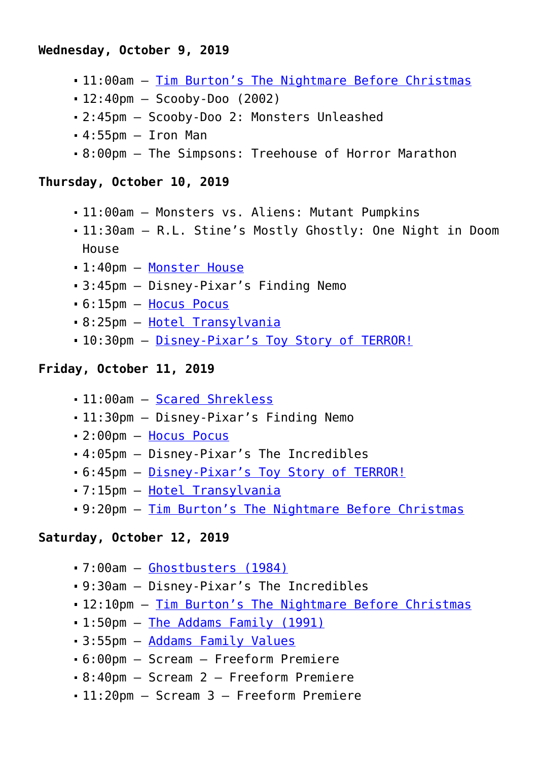## **Wednesday, October 9, 2019**

- 11:00am [Tim Burton's The Nightmare Before Christmas](https://www.halloweenmoviesontv.com/halloween-movies-a-to-z/the-nightmare-before-christmas-1993/)
- 12:40pm Scooby-Doo (2002)
- 2:45pm Scooby-Doo 2: Monsters Unleashed
- $-4:55$ pm  $-$  Iron Man
- 8:00pm The Simpsons: Treehouse of Horror Marathon

#### **Thursday, October 10, 2019**

- 11:00am Monsters vs. Aliens: Mutant Pumpkins
- 11:30am R.L. Stine's Mostly Ghostly: One Night in Doom House
- 1:40pm – [Monster House](https://www.halloweenmoviesontv.com/halloween-movies-a-to-z/monster-house-2006/)
- 3:45pm Disney-Pixar's Finding Nemo
- 6:15pm – [Hocus Pocus](https://www.halloweenmoviesontv.com/halloween-movies-a-to-z/hocus-pocus-1993/)
- 8:25pm – [Hotel Transylvania](https://www.halloweenmoviesontv.com/halloween-movies-a-to-z/hotel-transylvania-2012/)
- 10:30pm [Disney-Pixar's Toy Story of TERROR!](https://www.halloweenmoviesontv.com/halloween-movies-a-to-z/toy-story-of-terror-2013/)

#### **Friday, October 11, 2019**

- 11:00am [Scared Shrekless](https://www.halloweenmoviesontv.com/halloween-movies-a-to-z/scared-shrekless-2010/)
- 11:30pm Disney-Pixar's Finding Nemo
- 2:00pm – [Hocus Pocus](https://www.halloweenmoviesontv.com/halloween-movies-a-to-z/hocus-pocus-1993/)
- 4:05pm Disney-Pixar's The Incredibles
- 6:45pm – [Disney-Pixar's Toy Story of TERROR!](https://www.halloweenmoviesontv.com/halloween-movies-a-to-z/toy-story-of-terror-2013/)
- 7:15pm – [Hotel Transylvania](https://www.halloweenmoviesontv.com/halloween-movies-a-to-z/hotel-transylvania-2012/)
- 9:20pm – [Tim Burton's The Nightmare Before Christmas](https://www.halloweenmoviesontv.com/halloween-movies-a-to-z/the-nightmare-before-christmas-1993/)

#### **Saturday, October 12, 2019**

- 7:00am – [Ghostbusters \(1984\)](https://www.halloweenmoviesontv.com/halloween-movies-a-to-z/ghostbusters-1984/)
- 9:30am Disney-Pixar's The Incredibles
- 12:10pm [Tim Burton's The Nightmare Before Christmas](https://www.halloweenmoviesontv.com/halloween-movies-a-to-z/the-nightmare-before-christmas-1993/)
- 1:50pm – [The Addams Family \(1991\)](https://www.halloweenmoviesontv.com/halloween-movies-a-to-z/the-addams-family-1991/)
- 3:55pm – [Addams Family Values](https://www.halloweenmoviesontv.com/halloween-movies-a-to-z/addams-family-values-1993/)
- 6:00pm Scream Freeform Premiere
- 8:40pm Scream 2 Freeform Premiere
- 11:20pm Scream 3 Freeform Premiere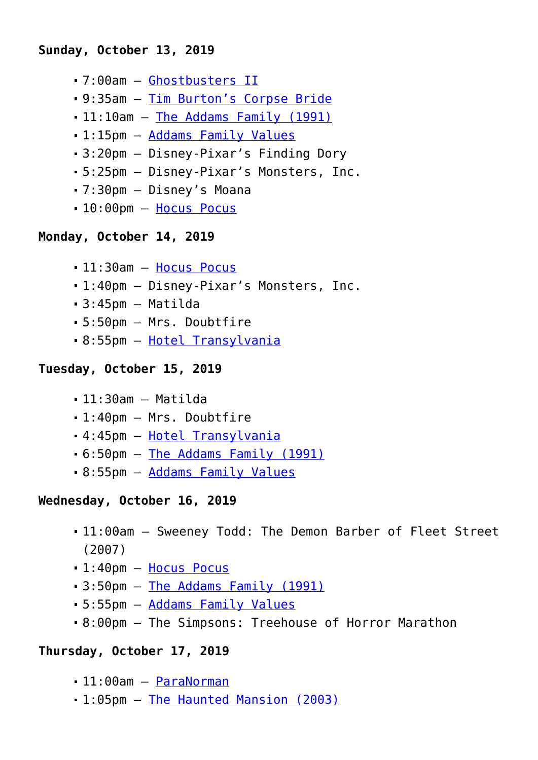#### **Sunday, October 13, 2019**

- 7:00am – [Ghostbusters II](https://www.halloweenmoviesontv.com/halloween-movies-a-to-z/ghostbusters-2-1989/)
- 9:35am – [Tim Burton's Corpse Bride](https://www.halloweenmoviesontv.com/halloween-movies-a-to-z/tim-burtons-corpse-bride-2005/)
- 11:10am [The Addams Family \(1991\)](https://www.halloweenmoviesontv.com/halloween-movies-a-to-z/the-addams-family-1991/)
- 1:15pm – [Addams Family Values](https://www.halloweenmoviesontv.com/halloween-movies-a-to-z/addams-family-values-1993/)
- 3:20pm Disney-Pixar's Finding Dory
- 5:25pm Disney-Pixar's Monsters, Inc.
- 7:30pm Disney's Moana
- 10:00pm [Hocus Pocus](https://www.halloweenmoviesontv.com/halloween-movies-a-to-z/hocus-pocus-1993/)

## **Monday, October 14, 2019**

- 11:30am [Hocus Pocus](https://www.halloweenmoviesontv.com/halloween-movies-a-to-z/hocus-pocus-1993/)
- 1:40pm Disney-Pixar's Monsters, Inc.
- $-3:45$ pm Matilda
- 5:50pm Mrs. Doubtfire
- 8:55pm – [Hotel Transylvania](https://www.halloweenmoviesontv.com/halloween-movies-a-to-z/hotel-transylvania-2012/)

## **Tuesday, October 15, 2019**

- 11:30am Matilda
- 1:40pm Mrs. Doubtfire
- 4:45pm – [Hotel Transylvania](https://www.halloweenmoviesontv.com/halloween-movies-a-to-z/hotel-transylvania-2012/)
- 6:50pm – [The Addams Family \(1991\)](https://www.halloweenmoviesontv.com/halloween-movies-a-to-z/the-addams-family-1991/)
- 8:55pm – [Addams Family Values](https://www.halloweenmoviesontv.com/halloween-movies-a-to-z/addams-family-values-1993/)

#### **Wednesday, October 16, 2019**

- 11:00am Sweeney Todd: The Demon Barber of Fleet Street (2007)
- 1:40pm – [Hocus Pocus](https://www.halloweenmoviesontv.com/halloween-movies-a-to-z/hocus-pocus-1993/)
- 3:50pm – [The Addams Family \(1991\)](https://www.halloweenmoviesontv.com/halloween-movies-a-to-z/the-addams-family-1991/)
- 5:55pm – [Addams Family Values](https://www.halloweenmoviesontv.com/halloween-movies-a-to-z/addams-family-values-1993/)
- 8:00pm The Simpsons: Treehouse of Horror Marathon

## **Thursday, October 17, 2019**

- 11:00am [ParaNorman](https://www.halloweenmoviesontv.com/halloween-movies-a-to-z/paranorman-2012/)
- 1:05pm – [The Haunted Mansion \(2003\)](https://www.halloweenmoviesontv.com/halloween-movies-a-to-z/the-haunted-mansion-2003/)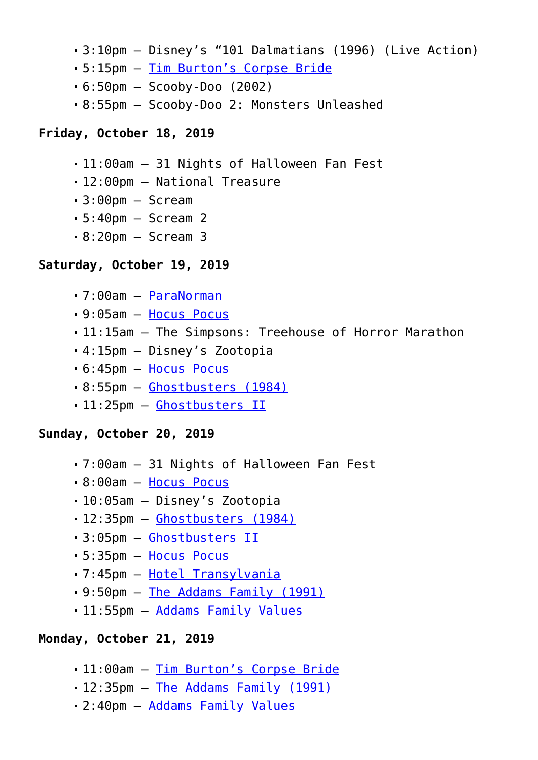- 3:10pm Disney's "101 Dalmatians (1996) (Live Action)
- 5:15pm – [Tim Burton's Corpse Bride](https://www.halloweenmoviesontv.com/halloween-movies-a-to-z/tim-burtons-corpse-bride-2005/)
- $-6:50$ pm Scooby-Doo (2002)
- 8:55pm Scooby-Doo 2: Monsters Unleashed

#### **Friday, October 18, 2019**

- 11:00am 31 Nights of Halloween Fan Fest
- 12:00pm National Treasure
- $-3:00$ pm Scream
- 5:40pm Scream 2
- $-8:20$ pm  $-$  Scream 3

#### **Saturday, October 19, 2019**

- 7:00am – [ParaNorman](https://www.halloweenmoviesontv.com/halloween-movies-a-to-z/paranorman-2012/)
- 9:05am – [Hocus Pocus](https://www.halloweenmoviesontv.com/halloween-movies-a-to-z/hocus-pocus-1993/)
- 11:15am The Simpsons: Treehouse of Horror Marathon
- 4:15pm Disney's Zootopia
- 6:45pm – [Hocus Pocus](https://www.halloweenmoviesontv.com/halloween-movies-a-to-z/hocus-pocus-1993/)
- 8:55pm – [Ghostbusters \(1984\)](https://www.halloweenmoviesontv.com/halloween-movies-a-to-z/ghostbusters-1984/)
- 11:25pm [Ghostbusters II](https://www.halloweenmoviesontv.com/halloween-movies-a-to-z/ghostbusters-2-1989/)

#### **Sunday, October 20, 2019**

- 7:00am 31 Nights of Halloween Fan Fest
- 8:00am – [Hocus Pocus](https://www.halloweenmoviesontv.com/halloween-movies-a-to-z/hocus-pocus-1993/)
- 10:05am Disney's Zootopia
- 12:35pm [Ghostbusters \(1984\)](https://www.halloweenmoviesontv.com/halloween-movies-a-to-z/ghostbusters-1984/)
- 3:05pm – [Ghostbusters II](https://www.halloweenmoviesontv.com/halloween-movies-a-to-z/ghostbusters-2-1989/)
- 5:35pm – [Hocus Pocus](https://www.halloweenmoviesontv.com/halloween-movies-a-to-z/hocus-pocus-1993/)
- 7:45pm – [Hotel Transylvania](https://www.halloweenmoviesontv.com/halloween-movies-a-to-z/hotel-transylvania-2012/)
- 9:50pm – [The Addams Family \(1991\)](https://www.halloweenmoviesontv.com/halloween-movies-a-to-z/the-addams-family-1991/)
- 11:55pm [Addams Family Values](https://www.halloweenmoviesontv.com/halloween-movies-a-to-z/addams-family-values-1993/)

## **Monday, October 21, 2019**

- 11:00am [Tim Burton's Corpse Bride](https://www.halloweenmoviesontv.com/halloween-movies-a-to-z/tim-burtons-corpse-bride-2005/)
- 12:35pm [The Addams Family \(1991\)](https://www.halloweenmoviesontv.com/halloween-movies-a-to-z/the-addams-family-1991/)
- 2:40pm – [Addams Family Values](https://www.halloweenmoviesontv.com/halloween-movies-a-to-z/addams-family-values-1993/)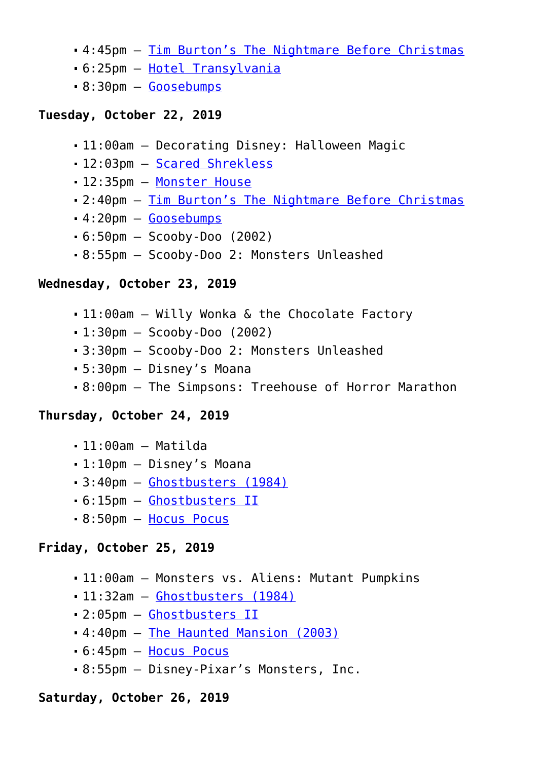- 4:45pm – [Tim Burton's The Nightmare Before Christmas](https://www.halloweenmoviesontv.com/halloween-movies-a-to-z/the-nightmare-before-christmas-1993/)
- 6:25pm – [Hotel Transylvania](https://www.halloweenmoviesontv.com/halloween-movies-a-to-z/hotel-transylvania-2012/)
- 8:30pm – [Goosebumps](https://www.halloweenmoviesontv.com/halloween-movies-a-to-z/goosebumps-2015/)

## **Tuesday, October 22, 2019**

- 11:00am Decorating Disney: Halloween Magic
- 12:03pm [Scared Shrekless](https://www.halloweenmoviesontv.com/halloween-movies-a-to-z/scared-shrekless-2010/)
- 12:35pm [Monster House](https://www.halloweenmoviesontv.com/halloween-movies-a-to-z/monster-house-2006/)
- 2:40pm – [Tim Burton's The Nightmare Before Christmas](https://www.halloweenmoviesontv.com/halloween-movies-a-to-z/the-nightmare-before-christmas-1993/)
- 4:20pm – [Goosebumps](https://www.halloweenmoviesontv.com/halloween-movies-a-to-z/goosebumps-2015/)
- 6:50pm Scooby-Doo (2002)
- 8:55pm Scooby-Doo 2: Monsters Unleashed

## **Wednesday, October 23, 2019**

- 11:00am Willy Wonka & the Chocolate Factory
- $-1:30$ pm Scooby-Doo (2002)
- 3:30pm Scooby-Doo 2: Monsters Unleashed
- 5:30pm Disney's Moana
- 8:00pm The Simpsons: Treehouse of Horror Marathon

## **Thursday, October 24, 2019**

- $-11:00$ am Matilda
- 1:10pm Disney's Moana
- 3:40pm – [Ghostbusters \(1984\)](https://www.halloweenmoviesontv.com/halloween-movies-a-to-z/ghostbusters-1984/)
- 6:15pm – [Ghostbusters II](https://www.halloweenmoviesontv.com/halloween-movies-a-to-z/ghostbusters-2-1989/)
- 8:50pm – [Hocus Pocus](https://www.halloweenmoviesontv.com/halloween-movies-a-to-z/hocus-pocus-1993/)

## **Friday, October 25, 2019**

- 11:00am Monsters vs. Aliens: Mutant Pumpkins
- 11:32am [Ghostbusters \(1984\)](https://www.halloweenmoviesontv.com/halloween-movies-a-to-z/ghostbusters-1984/)
- 2:05pm – [Ghostbusters II](https://www.halloweenmoviesontv.com/halloween-movies-a-to-z/ghostbusters-2-1989/)
- 4:40pm – [The Haunted Mansion \(2003\)](https://www.halloweenmoviesontv.com/halloween-movies-a-to-z/the-haunted-mansion-2003/)
- 6:45pm – [Hocus Pocus](https://www.halloweenmoviesontv.com/halloween-movies-a-to-z/hocus-pocus-1993/)
- 8:55pm Disney-Pixar's Monsters, Inc.

## **Saturday, October 26, 2019**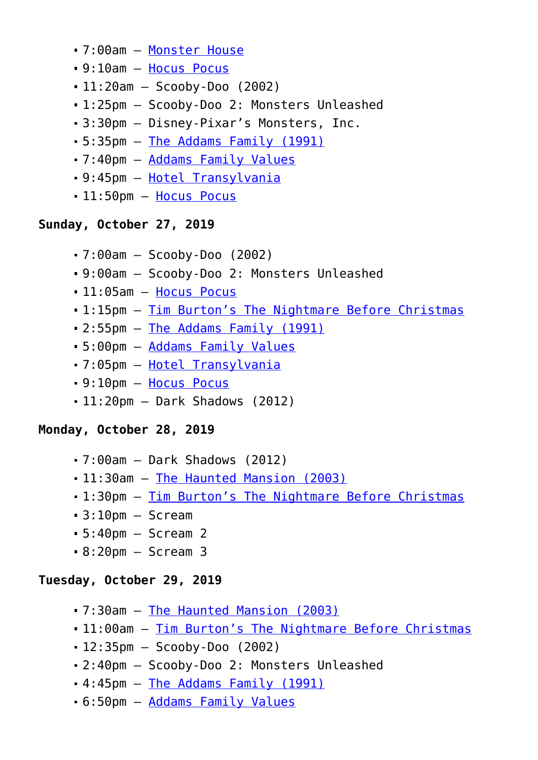- 7:00am – [Monster House](https://www.halloweenmoviesontv.com/halloween-movies-a-to-z/monster-house-2006/)
- 9:10am – [Hocus Pocus](https://www.halloweenmoviesontv.com/halloween-movies-a-to-z/hocus-pocus-1993/)
- 11:20am Scooby-Doo (2002)
- 1:25pm Scooby-Doo 2: Monsters Unleashed
- 3:30pm Disney-Pixar's Monsters, Inc.
- 5:35pm – [The Addams Family \(1991\)](https://www.halloweenmoviesontv.com/halloween-movies-a-to-z/the-addams-family-1991/)
- 7:40pm – [Addams Family Values](https://www.halloweenmoviesontv.com/halloween-movies-a-to-z/addams-family-values-1993/)
- 9:45pm – [Hotel Transylvania](https://www.halloweenmoviesontv.com/halloween-movies-a-to-z/hotel-transylvania-2012/)
- 11:50pm [Hocus Pocus](https://www.halloweenmoviesontv.com/halloween-movies-a-to-z/hocus-pocus-1993/)

## **Sunday, October 27, 2019**

- 7:00am Scooby-Doo (2002)
- 9:00am Scooby-Doo 2: Monsters Unleashed
- 11:05am [Hocus Pocus](https://www.halloweenmoviesontv.com/halloween-movies-a-to-z/hocus-pocus-1993/)
- 1:15pm – [Tim Burton's The Nightmare Before Christmas](https://www.halloweenmoviesontv.com/halloween-movies-a-to-z/the-nightmare-before-christmas-1993/)
- 2:55pm – [The Addams Family \(1991\)](https://www.halloweenmoviesontv.com/halloween-movies-a-to-z/the-addams-family-1991/)
- 5:00pm – [Addams Family Values](https://www.halloweenmoviesontv.com/halloween-movies-a-to-z/addams-family-values-1993/)
- 7:05pm – [Hotel Transylvania](https://www.halloweenmoviesontv.com/halloween-movies-a-to-z/hotel-transylvania-2012/)
- 9:10pm – [Hocus Pocus](https://www.halloweenmoviesontv.com/halloween-movies-a-to-z/hocus-pocus-1993/)
- 11:20pm Dark Shadows (2012)

## **Monday, October 28, 2019**

- 7:00am Dark Shadows (2012)
- 11:30am [The Haunted Mansion \(2003\)](https://www.halloweenmoviesontv.com/halloween-movies-a-to-z/the-haunted-mansion-2003/)
- 1:30pm – [Tim Burton's The Nightmare Before Christmas](https://www.halloweenmoviesontv.com/halloween-movies-a-to-z/the-nightmare-before-christmas-1993/)
- 3:10pm Scream
- 5:40pm Scream 2
- 8:20pm Scream 3

## **Tuesday, October 29, 2019**

- 7:30am – [The Haunted Mansion \(2003\)](https://www.halloweenmoviesontv.com/halloween-movies-a-to-z/the-haunted-mansion-2003/)
- 11:00am [Tim Burton's The Nightmare Before Christmas](https://www.halloweenmoviesontv.com/halloween-movies-a-to-z/the-nightmare-before-christmas-1993/)
- $-12:35$ pm Scooby-Doo (2002)
- 2:40pm Scooby-Doo 2: Monsters Unleashed
- 4:45pm – [The Addams Family \(1991\)](https://www.halloweenmoviesontv.com/halloween-movies-a-to-z/the-addams-family-1991/)
- 6:50pm – [Addams Family Values](https://www.halloweenmoviesontv.com/halloween-movies-a-to-z/addams-family-values-1993/)